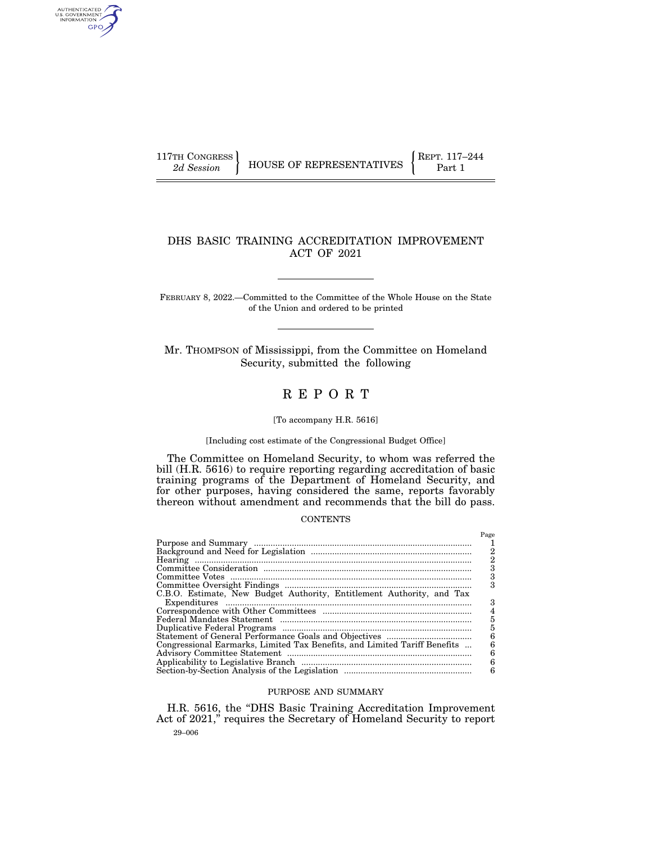AUTHENTICATED<br>U.S. GOVERNMENT<br>INFORMATION GPO

# DHS BASIC TRAINING ACCREDITATION IMPROVEMENT ACT OF 2021

FEBRUARY 8, 2022.—Committed to the Committee of the Whole House on the State of the Union and ordered to be printed

Mr. THOMPSON of Mississippi, from the Committee on Homeland Security, submitted the following

# R E P O R T

# [To accompany H.R. 5616]

#### [Including cost estimate of the Congressional Budget Office]

The Committee on Homeland Security, to whom was referred the bill (H.R. 5616) to require reporting regarding accreditation of basic training programs of the Department of Homeland Security, and for other purposes, having considered the same, reports favorably thereon without amendment and recommends that the bill do pass.

#### **CONTENTS**

|                                                                           | Page |
|---------------------------------------------------------------------------|------|
|                                                                           |      |
|                                                                           | 2    |
|                                                                           |      |
|                                                                           |      |
|                                                                           | 3    |
|                                                                           |      |
| C.B.O. Estimate, New Budget Authority, Entitlement Authority, and Tax     |      |
|                                                                           | З    |
|                                                                           |      |
|                                                                           | 5    |
|                                                                           | 5    |
|                                                                           | 6    |
| Congressional Earmarks, Limited Tax Benefits, and Limited Tariff Benefits | 6    |
|                                                                           | 6    |
|                                                                           | 6    |
|                                                                           | 6    |

# PURPOSE AND SUMMARY

29–006 H.R. 5616, the ''DHS Basic Training Accreditation Improvement Act of 2021,'' requires the Secretary of Homeland Security to report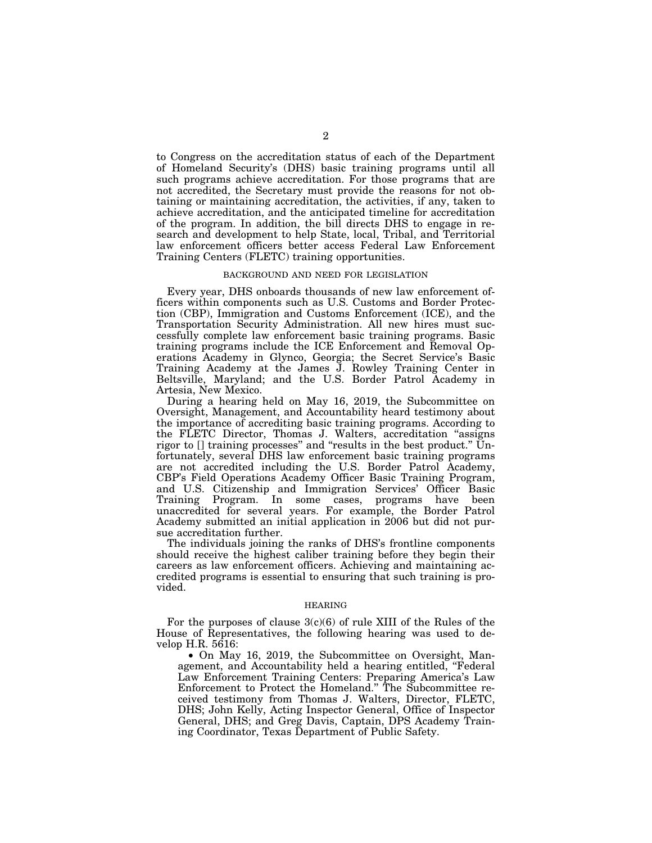to Congress on the accreditation status of each of the Department of Homeland Security's (DHS) basic training programs until all such programs achieve accreditation. For those programs that are not accredited, the Secretary must provide the reasons for not obtaining or maintaining accreditation, the activities, if any, taken to achieve accreditation, and the anticipated timeline for accreditation of the program. In addition, the bill directs DHS to engage in research and development to help State, local, Tribal, and Territorial law enforcement officers better access Federal Law Enforcement Training Centers (FLETC) training opportunities.

#### BACKGROUND AND NEED FOR LEGISLATION

Every year, DHS onboards thousands of new law enforcement officers within components such as U.S. Customs and Border Protection (CBP), Immigration and Customs Enforcement (ICE), and the Transportation Security Administration. All new hires must successfully complete law enforcement basic training programs. Basic training programs include the ICE Enforcement and Removal Operations Academy in Glynco, Georgia; the Secret Service's Basic Training Academy at the James J. Rowley Training Center in Beltsville, Maryland; and the U.S. Border Patrol Academy in Artesia, New Mexico.

During a hearing held on May 16, 2019, the Subcommittee on Oversight, Management, and Accountability heard testimony about the importance of accrediting basic training programs. According to the FLETC Director, Thomas J. Walters, accreditation ''assigns rigor to [] training processes'' and ''results in the best product.'' Unfortunately, several DHS law enforcement basic training programs are not accredited including the U.S. Border Patrol Academy, CBP's Field Operations Academy Officer Basic Training Program, and U.S. Citizenship and Immigration Services' Officer Basic Training Program. In some cases, programs have been unaccredited for several years. For example, the Border Patrol Academy submitted an initial application in 2006 but did not pursue accreditation further.

The individuals joining the ranks of DHS's frontline components should receive the highest caliber training before they begin their careers as law enforcement officers. Achieving and maintaining accredited programs is essential to ensuring that such training is provided.

# HEARING

For the purposes of clause  $3(c)(6)$  of rule XIII of the Rules of the House of Representatives, the following hearing was used to develop H.R. 5616:

• On May 16, 2019, the Subcommittee on Oversight, Management, and Accountability held a hearing entitled, ''Federal Law Enforcement Training Centers: Preparing America's Law Enforcement to Protect the Homeland.'' The Subcommittee received testimony from Thomas J. Walters, Director, FLETC, DHS; John Kelly, Acting Inspector General, Office of Inspector General, DHS; and Greg Davis, Captain, DPS Academy Training Coordinator, Texas Department of Public Safety.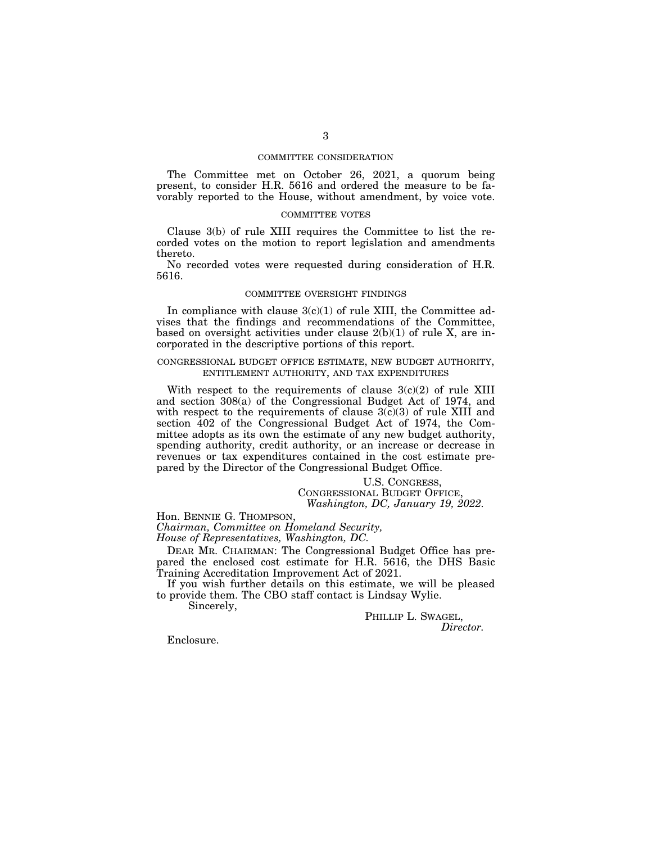# COMMITTEE CONSIDERATION

The Committee met on October 26, 2021, a quorum being present, to consider H.R. 5616 and ordered the measure to be favorably reported to the House, without amendment, by voice vote.

# COMMITTEE VOTES

Clause 3(b) of rule XIII requires the Committee to list the recorded votes on the motion to report legislation and amendments thereto.

No recorded votes were requested during consideration of H.R. 5616.

# COMMITTEE OVERSIGHT FINDINGS

In compliance with clause  $3(c)(1)$  of rule XIII, the Committee advises that the findings and recommendations of the Committee, based on oversight activities under clause 2(b)(1) of rule X, are incorporated in the descriptive portions of this report.

# CONGRESSIONAL BUDGET OFFICE ESTIMATE, NEW BUDGET AUTHORITY, ENTITLEMENT AUTHORITY, AND TAX EXPENDITURES

With respect to the requirements of clause  $3(c)(2)$  of rule XIII and section 308(a) of the Congressional Budget Act of 1974, and with respect to the requirements of clause  $3(c)(3)$  of rule XIII and section 402 of the Congressional Budget Act of 1974, the Committee adopts as its own the estimate of any new budget authority, spending authority, credit authority, or an increase or decrease in revenues or tax expenditures contained in the cost estimate prepared by the Director of the Congressional Budget Office.

> U.S. CONGRESS, CONGRESSIONAL BUDGET OFFICE, *Washington, DC, January 19, 2022.*

Hon. BENNIE G. THOMPSON,

*Chairman, Committee on Homeland Security, House of Representatives, Washington, DC.* 

DEAR MR. CHAIRMAN: The Congressional Budget Office has prepared the enclosed cost estimate for H.R. 5616, the DHS Basic Training Accreditation Improvement Act of 2021.

If you wish further details on this estimate, we will be pleased to provide them. The CBO staff contact is Lindsay Wylie.

Sincerely,

PHILLIP L. SWAGEL, *Director.* 

Enclosure.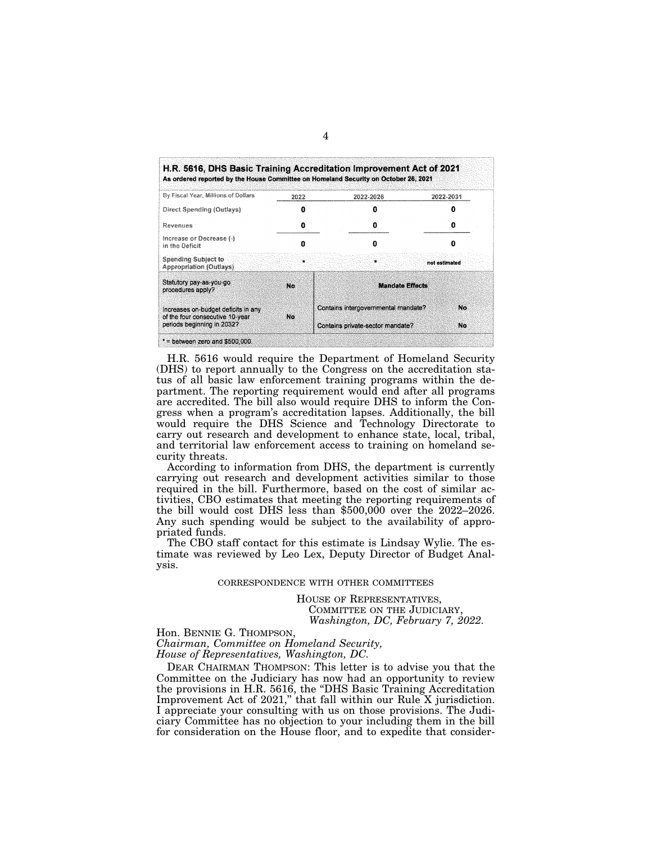| By Fiscal Year, Millions of Dollars                                                                  | 2022      | 2022-2026                           | 2022-2031     |
|------------------------------------------------------------------------------------------------------|-----------|-------------------------------------|---------------|
| Direct Spending (Outlays)                                                                            |           |                                     |               |
| Revenues                                                                                             |           |                                     |               |
| increase or Decrease $\{\cdot\}$<br>in the Deficit                                                   | Ω         | 0                                   |               |
| Spending Subject to<br><b>Appropriation (Outlays)</b>                                                | ٠         | ×                                   | not estimated |
| Statutory pay-as-you-go<br>procedures apply?                                                         | No.       | <b>Mandate Effects</b>              |               |
| Increases on-budget deficits in any<br>of the four consecutive 10-year<br>periods beginning in 2032? | <b>No</b> | Contains intergovernmental mandate? | No            |
|                                                                                                      |           | Contains private-sector mandate?    | No            |

H.R. 5616 would require the Department of Homeland Security (DHS) to report annually to the Congress on the accreditation status of all basic law enforcement training programs within the department. The reporting requirement would end after all programs are accredited. The bill also would require DHS to inform the Congress when a program's accreditation lapses. Additionally, the bill would require the DHS Science and Technology Directorate to carry out research and development to enhance state, local, tribal, and territorial law enforcement access to training on homeland security threats.

According to information from DHS, the department is currently carrying out research and development activities similar to those required in the bill. Furthermore, based on the cost of similar activities, CBO estimates that meeting the reporting requirements of the bill would cost DHS less than \$500,000 over the 2022–2026. Any such spending would be subject to the availability of appropriated funds.

The CBO staff contact for this estimate is Lindsay Wylie. The estimate was reviewed by Leo Lex, Deputy Director of Budget Analysis.

#### CORRESPONDENCE WITH OTHER COMMITTEES

HOUSE OF REPRESENTATIVES, COMMITTEE ON THE JUDICIARY, *Washington, DC, February 7, 2022.* 

Hon. BENNIE G. THOMPSON, *Chairman, Committee on Homeland Security, House of Representatives, Washington, DC.* 

DEAR CHAIRMAN THOMPSON: This letter is to advise you that the Committee on the Judiciary has now had an opportunity to review the provisions in H.R. 5616, the ''DHS Basic Training Accreditation Improvement Act of 2021," that fall within our Rule X jurisdiction. I appreciate your consulting with us on those provisions. The Judiciary Committee has no objection to your including them in the bill for consideration on the House floor, and to expedite that consider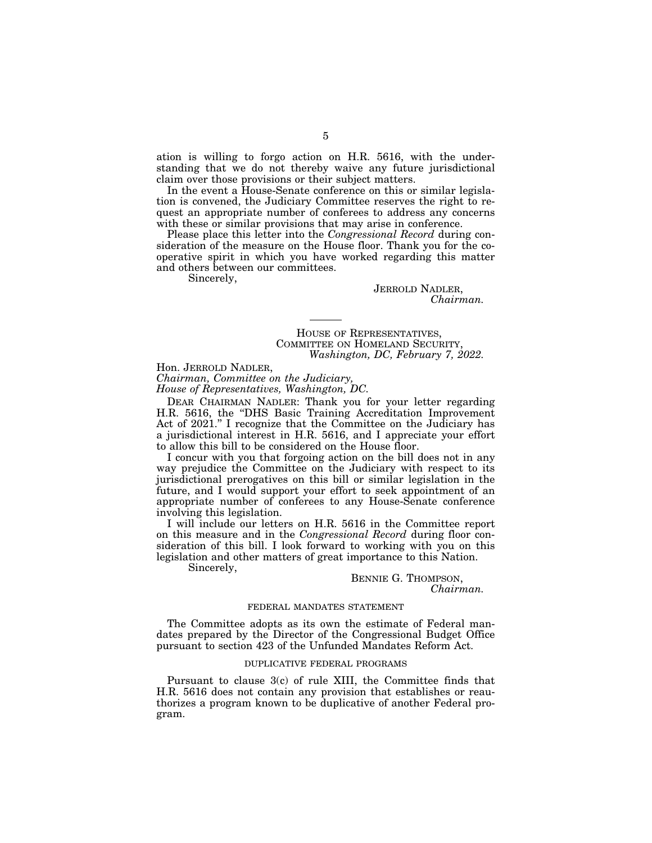ation is willing to forgo action on H.R. 5616, with the understanding that we do not thereby waive any future jurisdictional claim over those provisions or their subject matters.

In the event a House-Senate conference on this or similar legislation is convened, the Judiciary Committee reserves the right to request an appropriate number of conferees to address any concerns with these or similar provisions that may arise in conference.

Please place this letter into the *Congressional Record* during consideration of the measure on the House floor. Thank you for the cooperative spirit in which you have worked regarding this matter and others between our committees.

----

Sincerely,

JERROLD NADLER, *Chairman.* 

HOUSE OF REPRESENTATIVES, COMMITTEE ON HOMELAND SECURITY, *Washington, DC, February 7, 2022.* 

Hon. JERROLD NADLER, *Chairman, Committee on the Judiciary, House of Representatives, Washington, DC.* 

DEAR CHAIRMAN NADLER: Thank you for your letter regarding H.R. 5616, the "DHS Basic Training Accreditation Improvement Act of 2021.'' I recognize that the Committee on the Judiciary has a jurisdictional interest in H.R. 5616, and I appreciate your effort to allow this bill to be considered on the House floor.

I concur with you that forgoing action on the bill does not in any way prejudice the Committee on the Judiciary with respect to its jurisdictional prerogatives on this bill or similar legislation in the future, and I would support your effort to seek appointment of an appropriate number of conferees to any House-Senate conference involving this legislation.

I will include our letters on H.R. 5616 in the Committee report on this measure and in the *Congressional Record* during floor consideration of this bill. I look forward to working with you on this legislation and other matters of great importance to this Nation.

Sincerely,

BENNIE G. THOMPSON, *Chairman.* 

#### FEDERAL MANDATES STATEMENT

The Committee adopts as its own the estimate of Federal mandates prepared by the Director of the Congressional Budget Office pursuant to section 423 of the Unfunded Mandates Reform Act.

#### DUPLICATIVE FEDERAL PROGRAMS

Pursuant to clause 3(c) of rule XIII, the Committee finds that H.R. 5616 does not contain any provision that establishes or reauthorizes a program known to be duplicative of another Federal program.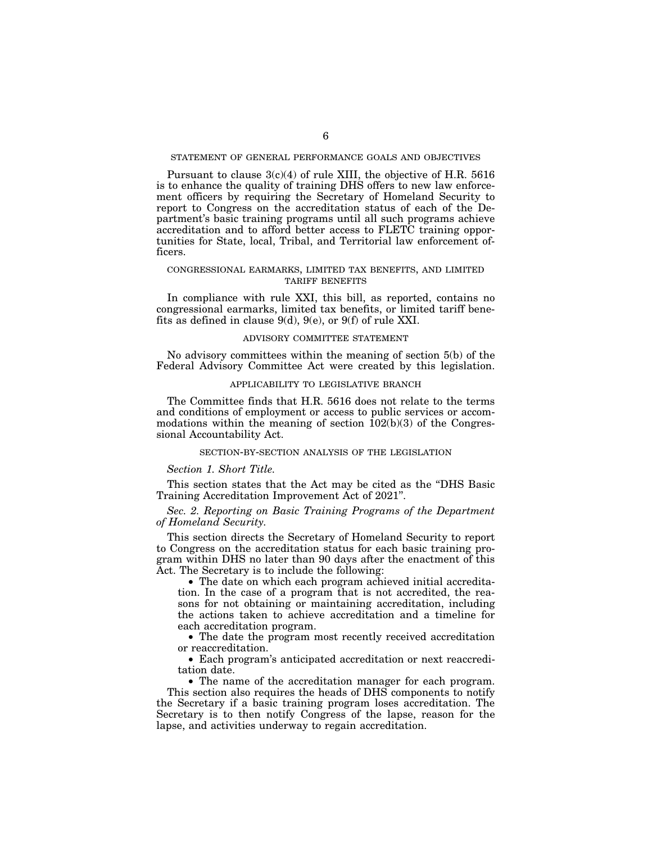# STATEMENT OF GENERAL PERFORMANCE GOALS AND OBJECTIVES

Pursuant to clause 3(c)(4) of rule XIII, the objective of H.R. 5616 is to enhance the quality of training DHS offers to new law enforcement officers by requiring the Secretary of Homeland Security to report to Congress on the accreditation status of each of the Department's basic training programs until all such programs achieve accreditation and to afford better access to FLETC training opportunities for State, local, Tribal, and Territorial law enforcement officers.

# CONGRESSIONAL EARMARKS, LIMITED TAX BENEFITS, AND LIMITED TARIFF BENEFITS

In compliance with rule XXI, this bill, as reported, contains no congressional earmarks, limited tax benefits, or limited tariff benefits as defined in clause 9(d), 9(e), or 9(f) of rule XXI.

#### ADVISORY COMMITTEE STATEMENT

No advisory committees within the meaning of section 5(b) of the Federal Advisory Committee Act were created by this legislation.

#### APPLICABILITY TO LEGISLATIVE BRANCH

The Committee finds that H.R. 5616 does not relate to the terms and conditions of employment or access to public services or accommodations within the meaning of section  $102(b)(3)$  of the Congressional Accountability Act.

#### SECTION-BY-SECTION ANALYSIS OF THE LEGISLATION

*Section 1. Short Title.* 

This section states that the Act may be cited as the ''DHS Basic Training Accreditation Improvement Act of 2021''.

# *Sec. 2. Reporting on Basic Training Programs of the Department of Homeland Security.*

This section directs the Secretary of Homeland Security to report to Congress on the accreditation status for each basic training program within DHS no later than 90 days after the enactment of this Act. The Secretary is to include the following:

• The date on which each program achieved initial accreditation. In the case of a program that is not accredited, the reasons for not obtaining or maintaining accreditation, including the actions taken to achieve accreditation and a timeline for each accreditation program.

• The date the program most recently received accreditation or reaccreditation.

• Each program's anticipated accreditation or next reaccreditation date.

• The name of the accreditation manager for each program. This section also requires the heads of DHS components to notify the Secretary if a basic training program loses accreditation. The Secretary is to then notify Congress of the lapse, reason for the lapse, and activities underway to regain accreditation.